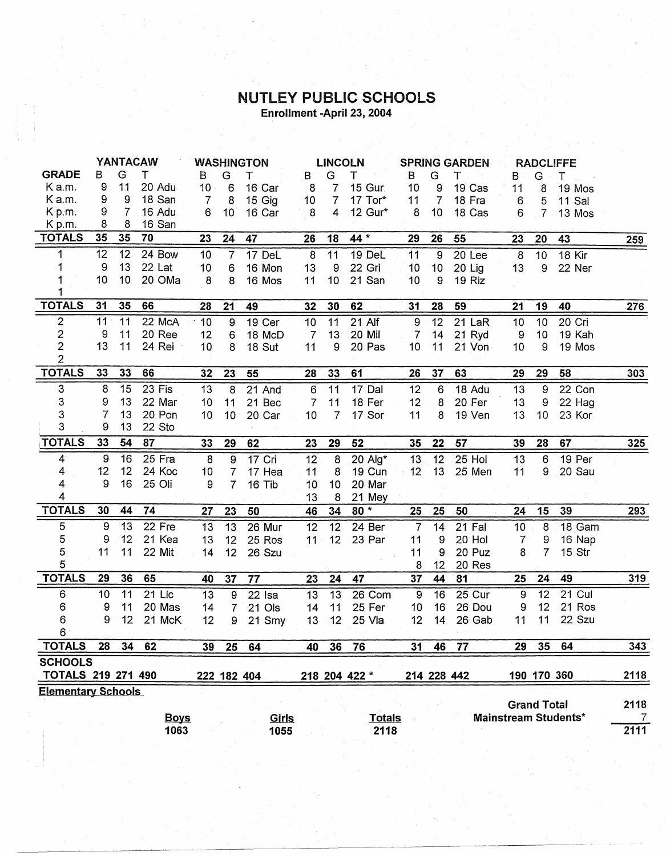## NUTLEY PUBLIC SCHOOLS Enrollment -April 23, 2004

|                           | <b>YANTACAW</b>  |                 |             |                 | <b>WASHINGTON</b> |             |                 | <b>LINCOLN</b>  |               |                |                 | <b>SPRING GARDEN</b><br><b>RADCLIFFE</b> |                    |                 |                             |                 |
|---------------------------|------------------|-----------------|-------------|-----------------|-------------------|-------------|-----------------|-----------------|---------------|----------------|-----------------|------------------------------------------|--------------------|-----------------|-----------------------------|-----------------|
| <b>GRADE</b>              | B                | G               | т           | B               | G                 | т           | В               | G               | т             | B              | G               | т                                        | В                  | G               | т                           |                 |
| K a.m.                    | 9                | 11              | 20 Adu      | 10 <sub>1</sub> | 6                 | 16 Car      | 8               | $\overline{7}$  | 15 Gur        | 10             | 9               | 19 Cas                                   | 11                 | 8               | 19 Mos                      |                 |
| K a.m.                    | 9                | 9               | 18 San      | 7               | 8                 | 15 Gig      | 10 <sup>1</sup> | $\overline{7}$  | 17 Tor*       | 11             | $\overline{7}$  | 18 Fra                                   | 6                  | 5               | <b>11 Sal</b>               |                 |
| K p.m.                    | 9                | 7               | 16 Adu      | 6               | 10                | 16 Car      | 8               | $\overline{4}$  | 12 Gur*       | 8              | 10              | 18 Cas                                   | 6                  | $\overline{7}$  | 13 Mos                      |                 |
| K p.m.                    | 8                | 8               | 16 San      |                 |                   |             |                 |                 |               |                |                 |                                          |                    |                 |                             |                 |
| <b>TOTALS</b>             | 35               | 35              | 70          | 23              | 24                | 47          | 26              | 18              | 44 *          | 29             | 26              | 55                                       | 23                 | 20              | 43                          | 259             |
| 1                         | 12               | 12 <sub>2</sub> | 24 Bow      | 10 <sub>1</sub> | $\overline{7}$    | 17 DeL      | 8               | 11              | 19 DeL        | 11             | 9               | 20 Lee                                   | $\boldsymbol{8}$   | 10              | 18 Kir                      |                 |
| 1                         | $\boldsymbol{9}$ | 13              | 22 Lat      | 10              | 6                 | 16 Mon      | 13              | 9               | 22 Gri        | 10             | 10 <sub>1</sub> | 20 Lig                                   | 13                 | 9               | 22 Ner                      |                 |
| 1                         | 10               | 10 <sub>1</sub> | 20 OMa      | 8               | 8                 | 16 Mos      | 11              | 10              | 21 San        | 10             | 9               | 19 Riz                                   |                    |                 |                             |                 |
|                           |                  |                 |             |                 |                   |             |                 |                 |               |                |                 |                                          |                    |                 |                             |                 |
| <b>TOTALS</b>             | 31               | 35              | 66          | 28              | 21                | 49          | 32              | 30              | 62            | 31             | 28              | 59                                       | 21                 | 19              | 40                          | .276            |
| $\overline{2}$            | 11               | 11              | 22 McA      | 10              | 9                 | 19 Cer      | 10              | 11              | $21$ Alf      | 9              | 12              | 21 LaR                                   | 10                 | 10 <sub>1</sub> | 20 Cri                      |                 |
| $\overline{\mathbf{c}}$   | 9                | 11              | 20 Ree      | 12              | 6                 | 18 McD      | $\overline{7}$  | 13              | 20 Mil        | 7              | 14              | 21 Ryd                                   | $\overline{9}$     | 10              | 19 Kah                      |                 |
| $\overline{c}$            | 13               | 11              | 24 Rei      | 10              | 8                 | 18 Sut      | 11              | 9               | 20 Pas        | 10             | 11              | 21 Von                                   | 10                 | $\cdot$ 9       | 19 Mos                      |                 |
| $\overline{2}$            |                  |                 |             |                 |                   |             |                 |                 |               |                |                 |                                          |                    |                 |                             |                 |
| <b>TOTALS</b>             | 33               | 33              | 66          | 32 <sub>2</sub> | 23                | 55          | 28              | 33              | 61            | 26             | 37              | 63                                       | 29                 | 29              | 58                          | 303             |
| 3                         | 8                | 15              | 23 Fis      | 13              | 8                 | 21 And      | 6               | 11              | 17 Dal        | 12             | 6               | 18 Adu                                   | 13                 | 9               | 22 Con                      |                 |
| 3                         | 9                | 13              | 22 Mar      | 10              | 11                | 21 Bec      | $\overline{7}$  | 11              | 18 Fer        | 12             | 8               | 20 Fer                                   | 13                 | 9               | 22 Hag                      |                 |
| 3                         | 7                | 13              | 20 Pon      | 10              | 10                | 20 Car      | 10              | $\overline{7}$  | 17 Sor        | 11             | 8               | 19 Ven                                   | 13                 | 10              | 23 Kor                      |                 |
| 3                         | 9                | 13              | 22 Sto      |                 |                   |             |                 |                 |               |                |                 |                                          |                    |                 |                             |                 |
| TOTALS                    | 33               | 54              | 87          | 33              | 29                | 62          | 23              | 29              | 52            | 35             | 22              | 57                                       | 39                 | 28              | 67                          | $\frac{325}{2}$ |
| $\boldsymbol{4}$          | 9                | 16              | 25 Fra      | $\overline{8}$  | 9                 | 17 Cri      | 12              | 8               | 20 Alg*       | 13             | 12 <sub>2</sub> | 25 Hol                                   | 13                 | 6               | 19 Per                      |                 |
| 4                         | 12               | 12              | 24 Koc      | 10              | $\overline{7}$    | 17 Hea      | 11              | 8               | 19 Cun        | 12             | 13              | 25 Men                                   | 11                 | 9               | 20 Sau                      |                 |
| 4                         | 0                | 16              | 25 Oli      | 9               | $\overline{7}$    | 16 Tib      | 10              | 10              | 20 Mar        |                |                 |                                          |                    |                 |                             |                 |
| 4                         |                  |                 |             |                 |                   |             | 13              | 8               | 21 Mey        |                |                 |                                          |                    |                 |                             |                 |
| <b>TOTALS</b>             | 30               | 44              | 74          | 27              | 23                | 50          | 46              | 34              | $80 *$        | 25             | 25              | 50                                       | 24                 | 15              | 39                          | 293             |
| 5                         | $\overline{9}$   | 13              | 22 Fre      | 13              | 13                | 26 Mur      | 12              | $\overline{12}$ | 24 Ber        | $\overline{7}$ | 14              | 21 Fal                                   | 10                 | 8               | 18 Gam                      |                 |
| 5                         | 9                | 12              | 21 Kea      | 13              | 12 <sup>°</sup>   | 25 Ros      | 11              | 12              | 23 Par        | 11             | $\overline{9}$  | 20 Hol                                   | 7                  | 9               | 16 Nap                      |                 |
| 5                         | 11               | 11              | 22 Mit      | 14              | 12                | 26 Szu      |                 |                 |               | 11             | 9               | 20 Puz                                   | 8                  | $\overline{7}$  | 15 Str                      |                 |
| 5                         |                  |                 |             |                 |                   |             |                 |                 |               | 8              | 12              | 20 Res                                   |                    |                 |                             |                 |
| <b>TOTALS</b>             | 29               | 36              | 65          | 40              | 37                | 77          | 23              | 24              | 47            | 37             | 44              | 81                                       | 25                 | 24              | 49                          | 319             |
| 6                         | 10               | 11              | $21$ Lic    | 13              | $\overline{9}$    | 22 Isa      | 13              | 13              | 26 Com        | 9              | 16              | 25 Cur                                   | 9                  | 12              | $21$ Cul                    |                 |
| 6                         | 9                | 11              | 20 Mas      | 14              | $\overline{7}$    | 21 Ols      | 14              | 11              | 25 Fer        | 10             | 16              | 26 Dou                                   | 9                  | 12              | 21 Ros                      |                 |
| 6                         | 9                | 12              | 21 McK      | 12              | 9                 | 21 Smy      | 13              | 12              | 25 Vla        | 12             | 14              | 26 Gab                                   | 11                 | 11              | 22 Szu                      |                 |
| $6^{\circ}$               |                  |                 |             |                 |                   |             |                 |                 |               |                |                 |                                          |                    |                 |                             |                 |
| <b>TOTALS</b>             | 28               | 34              | 62          | 39              | 25                | 64          | 40              | 36              | 76            | 31             | 46              | 77                                       | 29                 | 35              | 64                          | 343             |
| <b>SCHOOLS</b>            |                  |                 |             |                 |                   |             |                 |                 |               |                |                 |                                          |                    |                 |                             |                 |
| TOTALS 219 271 490        |                  |                 |             |                 |                   | 222 182 404 |                 |                 | 218 204 422 * |                |                 | 214 228 442                              |                    | 190 170 360     |                             | 2118            |
| <b>Elementary Schools</b> |                  |                 |             |                 |                   |             |                 |                 |               |                |                 |                                          |                    |                 |                             |                 |
|                           |                  |                 |             |                 |                   |             |                 |                 |               |                |                 |                                          | <b>Grand Total</b> |                 |                             | 2118            |
|                           |                  |                 | <b>Boys</b> |                 |                   | Girls       |                 |                 | <b>Totals</b> |                |                 |                                          |                    |                 | <b>Mainstream Students*</b> | $\overline{7}$  |
|                           |                  |                 | 1063        |                 |                   | 1055        |                 |                 | 2118          |                |                 |                                          |                    |                 |                             | 2111            |